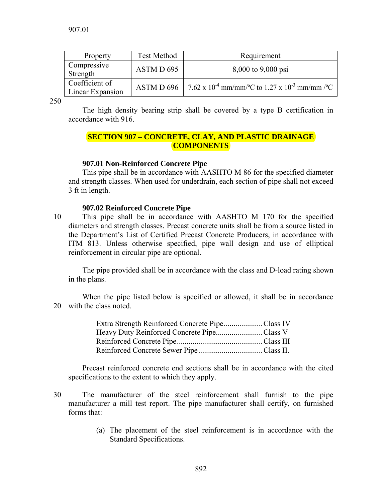| Property                           | <b>Test Method</b> | Requirement                                                                      |
|------------------------------------|--------------------|----------------------------------------------------------------------------------|
| Compressive<br>Strength            | ASTM D 695         | 8,000 to 9,000 psi                                                               |
| Coefficient of<br>Linear Expansion |                    | ASTM D 696 7.62 x 10 <sup>-4</sup> mm/mm/°C to 1.27 x 10 <sup>-3</sup> mm/mm /°C |

250

The high density bearing strip shall be covered by a type B certification in accordance with 916.

# **SECTION 907 – CONCRETE, CLAY, AND PLASTIC DRAINAGE COMPONENTS**

# **907.01 Non-Reinforced Concrete Pipe**

 This pipe shall be in accordance with AASHTO M 86 for the specified diameter and strength classes. When used for underdrain, each section of pipe shall not exceed 3 ft in length.

## **907.02 Reinforced Concrete Pipe**

10 This pipe shall be in accordance with AASHTO M 170 for the specified diameters and strength classes. Precast concrete units shall be from a source listed in the Department's List of Certified Precast Concrete Producers, in accordance with ITM 813. Unless otherwise specified, pipe wall design and use of elliptical reinforcement in circular pipe are optional.

 The pipe provided shall be in accordance with the class and D-load rating shown in the plans.

 When the pipe listed below is specified or allowed, it shall be in accordance 20 with the class noted.

| Extra Strength Reinforced Concrete PipeClass IV |  |
|-------------------------------------------------|--|
| Heavy Duty Reinforced Concrete PipeClass V      |  |
|                                                 |  |
|                                                 |  |

 Precast reinforced concrete end sections shall be in accordance with the cited specifications to the extent to which they apply.

- 30 The manufacturer of the steel reinforcement shall furnish to the pipe manufacturer a mill test report. The pipe manufacturer shall certify, on furnished forms that:
	- (a) The placement of the steel reinforcement is in accordance with the Standard Specifications.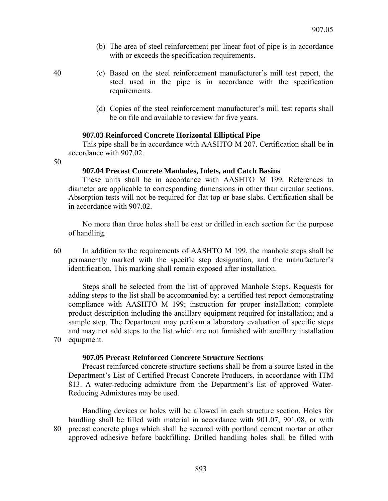(b) The area of steel reinforcement per linear foot of pipe is in accordance with or exceeds the specification requirements.

- 40 (c) Based on the steel reinforcement manufacturer's mill test report, the steel used in the pipe is in accordance with the specification requirements.
	- (d) Copies of the steel reinforcement manufacturer's mill test reports shall be on file and available to review for five years.

#### **907.03 Reinforced Concrete Horizontal Elliptical Pipe**

 This pipe shall be in accordance with AASHTO M 207. Certification shall be in accordance with 907.02.

50

## **907.04 Precast Concrete Manholes, Inlets, and Catch Basins**

 These units shall be in accordance with AASHTO M 199. References to diameter are applicable to corresponding dimensions in other than circular sections. Absorption tests will not be required for flat top or base slabs. Certification shall be in accordance with 907.02.

 No more than three holes shall be cast or drilled in each section for the purpose of handling.

60 In addition to the requirements of AASHTO M 199, the manhole steps shall be permanently marked with the specific step designation, and the manufacturer's identification. This marking shall remain exposed after installation.

 Steps shall be selected from the list of approved Manhole Steps. Requests for adding steps to the list shall be accompanied by: a certified test report demonstrating compliance with AASHTO M 199; instruction for proper installation; complete product description including the ancillary equipment required for installation; and a sample step. The Department may perform a laboratory evaluation of specific steps and may not add steps to the list which are not furnished with ancillary installation 70 equipment.

#### **907.05 Precast Reinforced Concrete Structure Sections**

 Precast reinforced concrete structure sections shall be from a source listed in the Department's List of Certified Precast Concrete Producers, in accordance with ITM 813. A water-reducing admixture from the Department's list of approved Water-Reducing Admixtures may be used.

 Handling devices or holes will be allowed in each structure section. Holes for handling shall be filled with material in accordance with 901.07, 901.08, or with 80 precast concrete plugs which shall be secured with portland cement mortar or other approved adhesive before backfilling. Drilled handling holes shall be filled with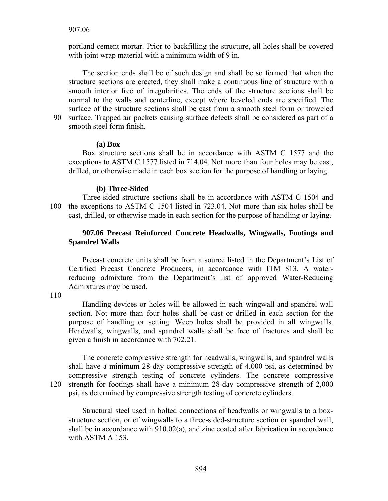portland cement mortar. Prior to backfilling the structure, all holes shall be covered with joint wrap material with a minimum width of 9 in.

 The section ends shall be of such design and shall be so formed that when the structure sections are erected, they shall make a continuous line of structure with a smooth interior free of irregularities. The ends of the structure sections shall be normal to the walls and centerline, except where beveled ends are specified. The surface of the structure sections shall be cast from a smooth steel form or troweled 90 surface. Trapped air pockets causing surface defects shall be considered as part of a smooth steel form finish.

 **(a) Box** 

 Box structure sections shall be in accordance with ASTM C 1577 and the exceptions to ASTM C 1577 listed in 714.04. Not more than four holes may be cast, drilled, or otherwise made in each box section for the purpose of handling or laying.

#### **(b) Three-Sided**

 Three-sided structure sections shall be in accordance with ASTM C 1504 and 100 the exceptions to ASTM C 1504 listed in 723.04. Not more than six holes shall be cast, drilled, or otherwise made in each section for the purpose of handling or laying.

## **907.06 Precast Reinforced Concrete Headwalls, Wingwalls, Footings and Spandrel Walls**

 Precast concrete units shall be from a source listed in the Department's List of Certified Precast Concrete Producers, in accordance with ITM 813. A waterreducing admixture from the Department's list of approved Water-Reducing Admixtures may be used.

110

 Handling devices or holes will be allowed in each wingwall and spandrel wall section. Not more than four holes shall be cast or drilled in each section for the purpose of handling or setting. Weep holes shall be provided in all wingwalls. Headwalls, wingwalls, and spandrel walls shall be free of fractures and shall be given a finish in accordance with 702.21.

The concrete compressive strength for headwalls, wingwalls, and spandrel walls shall have a minimum 28-day compressive strength of 4,000 psi, as determined by compressive strength testing of concrete cylinders. The concrete compressive 120 strength for footings shall have a minimum 28-day compressive strength of 2,000 psi, as determined by compressive strength testing of concrete cylinders.

 Structural steel used in bolted connections of headwalls or wingwalls to a boxstructure section, or of wingwalls to a three-sided-structure section or spandrel wall, shall be in accordance with 910.02(a), and zinc coated after fabrication in accordance with ASTM A 153.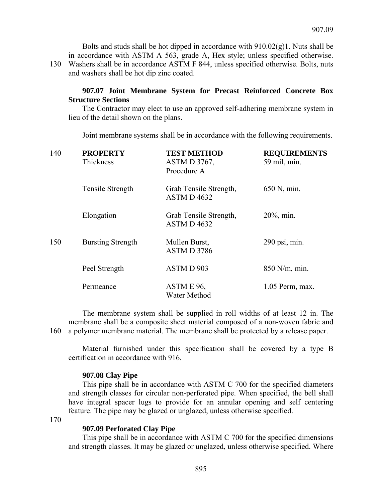Bolts and studs shall be hot dipped in accordance with 910.02(g)1. Nuts shall be in accordance with ASTM A 563, grade A, Hex style; unless specified otherwise. 130 Washers shall be in accordance ASTM F 844, unless specified otherwise. Bolts, nuts and washers shall be hot dip zinc coated.

# **907.07 Joint Membrane System for Precast Reinforced Concrete Box Structure Sections**

 The Contractor may elect to use an approved self-adhering membrane system in lieu of the detail shown on the plans.

Joint membrane systems shall be in accordance with the following requirements.

| 140 | <b>PROPERTY</b><br>Thickness | <b>TEST METHOD</b><br><b>ASTM D 3767,</b><br>Procedure A | <b>REQUIREMENTS</b><br>59 mil, min. |
|-----|------------------------------|----------------------------------------------------------|-------------------------------------|
|     | Tensile Strength             | Grab Tensile Strength,<br>ASTM D4632                     | 650 N, min.                         |
|     | Elongation                   | Grab Tensile Strength,<br>ASTM D4632                     | $20\%$ , min.                       |
| 150 | <b>Bursting Strength</b>     | Mullen Burst,<br>ASTM D 3786                             | $290$ psi, min.                     |
|     | Peel Strength                | ASTM D 903                                               | 850 N/m, min.                       |
|     | Permeance                    | ASTM E 96,<br>Water Method                               | $1.05$ Perm, max.                   |

The membrane system shall be supplied in roll widths of at least 12 in. The membrane shall be a composite sheet material composed of a non-woven fabric and 160 a polymer membrane material. The membrane shall be protected by a release paper.

 Material furnished under this specification shall be covered by a type B certification in accordance with 916.

#### **907.08 Clay Pipe**

 This pipe shall be in accordance with ASTM C 700 for the specified diameters and strength classes for circular non-perforated pipe. When specified, the bell shall have integral spacer lugs to provide for an annular opening and self centering feature. The pipe may be glazed or unglazed, unless otherwise specified.

170

## **907.09 Perforated Clay Pipe**

 This pipe shall be in accordance with ASTM C 700 for the specified dimensions and strength classes. It may be glazed or unglazed, unless otherwise specified. Where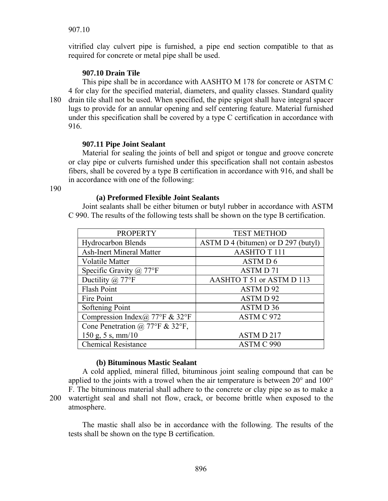vitrified clay culvert pipe is furnished, a pipe end section compatible to that as required for concrete or metal pipe shall be used.

# **907.10 Drain Tile**

 This pipe shall be in accordance with AASHTO M 178 for concrete or ASTM C 4 for clay for the specified material, diameters, and quality classes. Standard quality 180 drain tile shall not be used. When specified, the pipe spigot shall have integral spacer lugs to provide for an annular opening and self centering feature. Material furnished under this specification shall be covered by a type C certification in accordance with 916.

## **907.11 Pipe Joint Sealant**

 Material for sealing the joints of bell and spigot or tongue and groove concrete or clay pipe or culverts furnished under this specification shall not contain asbestos fibers, shall be covered by a type B certification in accordance with 916, and shall be in accordance with one of the following:

190

#### **(a) Preformed Flexible Joint Sealants**

 Joint sealants shall be either bitumen or butyl rubber in accordance with ASTM C 990. The results of the following tests shall be shown on the type B certification.

| <b>PROPERTY</b>                                       | <b>TEST METHOD</b>                  |
|-------------------------------------------------------|-------------------------------------|
| <b>Hydrocarbon Blends</b>                             | ASTM D 4 (bitumen) or D 297 (butyl) |
| <b>Ash-Inert Mineral Matter</b>                       | <b>AASHTOT111</b>                   |
| Volatile Matter                                       | ASTM D 6                            |
| Specific Gravity $(a)$ 77°F                           | ASTM D71                            |
| Ductility $(a)$ 77°F                                  | AASHTO T 51 or ASTM D 113           |
| Flash Point                                           | ASTM D 92                           |
| Fire Point                                            | ASTM D 92                           |
| Softening Point                                       | ASTM D 36                           |
| Compression Index (a) $77^{\circ}$ F & $32^{\circ}$ F | ASTM C 972                          |
| Cone Penetration @ 77°F & 32°F,                       |                                     |
| $150$ g, 5 s, mm/10                                   | ASTMD <sub>217</sub>                |
| <b>Chemical Resistance</b>                            | ASTM C 990                          |

## **(b) Bituminous Mastic Sealant**

A cold applied, mineral filled, bituminous joint sealing compound that can be applied to the joints with a trowel when the air temperature is between 20° and 100° F. The bituminous material shall adhere to the concrete or clay pipe so as to make a 200 watertight seal and shall not flow, crack, or become brittle when exposed to the atmosphere.

 The mastic shall also be in accordance with the following. The results of the tests shall be shown on the type B certification.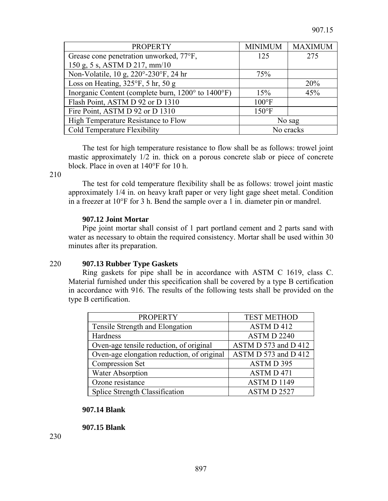| <b>PROPERTY</b>                                    | <b>MINIMUM</b>  | <b>MAXIMUM</b> |
|----------------------------------------------------|-----------------|----------------|
| Grease cone penetration unworked, 77°F,            | 125             | 275            |
| 150 g, 5 s, ASTM D 217, mm/10                      |                 |                |
| Non-Volatile, 10 g, 220°-230°F, 24 hr              | 75%             |                |
| Loss on Heating, $325^{\circ}F$ , 5 hr, 50 g       |                 | 20%            |
| Inorganic Content (complete burn, 1200° to 1400°F) | 15%             | 45%            |
| Flash Point, ASTM D 92 or D 1310                   | $100^{\circ}$ F |                |
| Fire Point, ASTM D 92 or D 1310                    | $150^{\circ}$ F |                |
| High Temperature Resistance to Flow                |                 | No sag         |
| Cold Temperature Flexibility                       | No cracks       |                |

The test for high temperature resistance to flow shall be as follows: trowel joint mastic approximately 1/2 in. thick on a porous concrete slab or piece of concrete block. Place in oven at 140°F for 10 h.

210

 The test for cold temperature flexibility shall be as follows: trowel joint mastic approximately 1/4 in. on heavy kraft paper or very light gage sheet metal. Condition in a freezer at 10°F for 3 h. Bend the sample over a 1 in. diameter pin or mandrel.

#### **907.12 Joint Mortar**

 Pipe joint mortar shall consist of 1 part portland cement and 2 parts sand with water as necessary to obtain the required consistency. Mortar shall be used within 30 minutes after its preparation.

## 220 **907.13 Rubber Type Gaskets**

 Ring gaskets for pipe shall be in accordance with ASTM C 1619, class C. Material furnished under this specification shall be covered by a type B certification in accordance with 916. The results of the following tests shall be provided on the type B certification.

| <b>PROPERTY</b>                            | <b>TEST METHOD</b>   |  |
|--------------------------------------------|----------------------|--|
| Tensile Strength and Elongation            | ASTM D 412           |  |
| Hardness                                   | <b>ASTMD 2240</b>    |  |
| Oven-age tensile reduction, of original    | ASTM D 573 and D 412 |  |
| Oven-age elongation reduction, of original | ASTM D 573 and D 412 |  |
| <b>Compression Set</b>                     | ASTMD 395            |  |
| <b>Water Absorption</b>                    | ASTM D 471           |  |
| Ozone resistance                           | <b>ASTM D 1149</b>   |  |
| <b>Splice Strength Classification</b>      | ASTM D 2527          |  |

#### **907.14 Blank**

 **907.15 Blank** 

230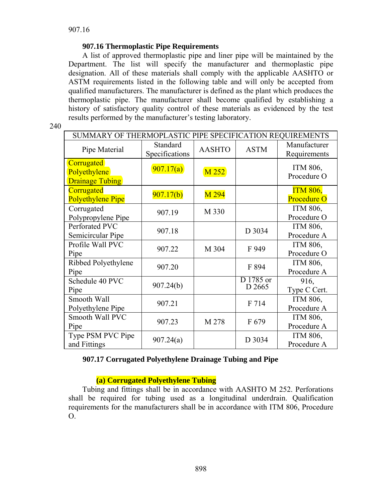# **907.16 Thermoplastic Pipe Requirements**

 A list of approved thermoplastic pipe and liner pipe will be maintained by the Department. The list will specify the manufacturer and thermoplastic pipe designation. All of these materials shall comply with the applicable AASHTO or ASTM requirements listed in the following table and will only be accepted from qualified manufacturers. The manufacturer is defined as the plant which produces the thermoplastic pipe. The manufacturer shall become qualified by establishing a history of satisfactory quality control of these materials as evidenced by the test results performed by the manufacturer's testing laboratory.

| SUMMARY OF THERMOPLASTIC PIPE SPECIFICATION REQUIREMENTS    |                            |                  |                     |                                       |
|-------------------------------------------------------------|----------------------------|------------------|---------------------|---------------------------------------|
| Pipe Material                                               | Standard<br>Specifications | <b>AASHTO</b>    | <b>ASTM</b>         | Manufacturer<br>Requirements          |
| <b>Corrugated</b><br>Polyethylene<br><b>Drainage Tubing</b> | 907.17(a)                  | M 252            |                     | ITM 806,<br>Procedure O               |
| Corrugated<br><b>Polyethylene Pipe</b>                      | 907.17(b)                  | M <sub>294</sub> |                     | <b>ITM 806,</b><br><b>Procedure O</b> |
| Corrugated<br>Polypropylene Pipe                            | 907.19                     | M 330            |                     | ITM 806,<br>Procedure O               |
| Perforated PVC<br>Semicircular Pipe                         | 907.18                     |                  | D 3034              | ITM 806,<br>Procedure A               |
| Profile Wall PVC<br>Pipe                                    | 907.22                     | M 304            | F 949               | ITM 806,<br>Procedure O               |
| Ribbed Polyethylene<br>Pipe                                 | 907.20                     |                  | F 894               | ITM 806,<br>Procedure A               |
| Schedule 40 PVC<br>Pipe                                     | 907.24(b)                  |                  | D 1785 or<br>D 2665 | 916,<br>Type C Cert.                  |
| Smooth Wall<br>Polyethylene Pipe                            | 907.21                     |                  | F 714               | ITM 806,<br>Procedure A               |
| Smooth Wall PVC<br>Pipe                                     | 907.23                     | M 278            | F 679               | ITM 806,<br>Procedure A               |
| Type PSM PVC Pipe<br>and Fittings                           | 907.24(a)                  |                  | D 3034              | ITM 806,<br>Procedure A               |

## **907.17 Corrugated Polyethylene Drainage Tubing and Pipe**

# **(a) Corrugated Polyethylene Tubing**

 Tubing and fittings shall be in accordance with AASHTO M 252. Perforations shall be required for tubing used as a longitudinal underdrain. Qualification requirements for the manufacturers shall be in accordance with ITM 806, Procedure O.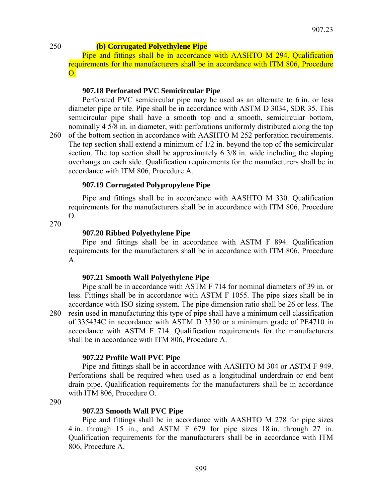## 250 **(b) Corrugated Polyethylene Pipe**

 Pipe and fittings shall be in accordance with AASHTO M 294. Qualification requirements for the manufacturers shall be in accordance with ITM 806, Procedure O.

## **907.18 Perforated PVC Semicircular Pipe**

 Perforated PVC semicircular pipe may be used as an alternate to 6 in. or less diameter pipe or tile. Pipe shall be in accordance with ASTM D 3034, SDR 35. This semicircular pipe shall have a smooth top and a smooth, semicircular bottom, nominally 4 5/8 in. in diameter, with perforations uniformly distributed along the top 260 of the bottom section in accordance with AASHTO M 252 perforation requirements. The top section shall extend a minimum of 1/2 in. beyond the top of the semicircular section. The top section shall be approximately 6 3/8 in. wide including the sloping overhangs on each side. Qualification requirements for the manufacturers shall be in accordance with ITM 806, Procedure A.

## **907.19 Corrugated Polypropylene Pipe**

 Pipe and fittings shall be in accordance with AASHTO M 330. Qualification requirements for the manufacturers shall be in accordance with ITM 806, Procedure  $O<sub>1</sub>$ 

270

#### **907.20 Ribbed Polyethylene Pipe**

 Pipe and fittings shall be in accordance with ASTM F 894. Qualification requirements for the manufacturers shall be in accordance with ITM 806, Procedure A.

#### **907.21 Smooth Wall Polyethylene Pipe**

 Pipe shall be in accordance with ASTM F 714 for nominal diameters of 39 in. or less. Fittings shall be in accordance with ASTM F 1055. The pipe sizes shall be in accordance with ISO sizing system. The pipe dimension ratio shall be 26 or less. The 280 resin used in manufacturing this type of pipe shall have a minimum cell classification of 335434C in accordance with ASTM D 3350 or a minimum grade of PE4710 in accordance with ASTM F 714. Qualification requirements for the manufacturers shall be in accordance with ITM 806, Procedure A.

## **907.22 Profile Wall PVC Pipe**

 Pipe and fittings shall be in accordance with AASHTO M 304 or ASTM F 949. Perforations shall be required when used as a longitudinal underdrain or end bent drain pipe. Qualification requirements for the manufacturers shall be in accordance with ITM 806, Procedure O.

290

## **907.23 Smooth Wall PVC Pipe**

 Pipe and fittings shall be in accordance with AASHTO M 278 for pipe sizes 4 in. through 15 in., and ASTM F 679 for pipe sizes 18 in. through 27 in. Qualification requirements for the manufacturers shall be in accordance with ITM 806, Procedure A.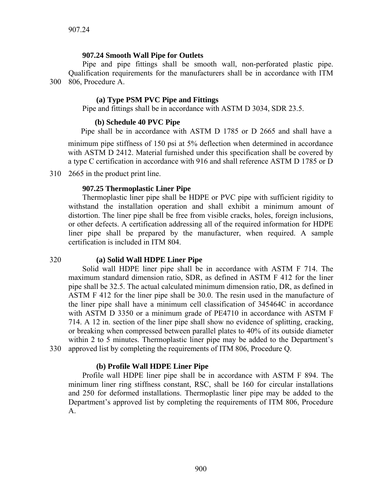# **907.24 Smooth Wall Pipe for Outlets**

Pipe and pipe fittings shall be smooth wall, non-perforated plastic pipe. Qualification requirements for the manufacturers shall be in accordance with ITM 300 806, Procedure A.

#### **(a) Type PSM PVC Pipe and Fittings**

Pipe and fittings shall be in accordance with ASTM D 3034, SDR 23.5.

#### **(b) Schedule 40 PVC Pipe**

Pipe shall be in accordance with ASTM D 1785 or D 2665 and shall have a

minimum pipe stiffness of 150 psi at 5% deflection when determined in accordance with ASTM D 2412. Material furnished under this specification shall be covered by a type C certification in accordance with 916 and shall reference ASTM D 1785 or D

310 2665 in the product print line.

#### **907.25 Thermoplastic Liner Pipe**

 Thermoplastic liner pipe shall be HDPE or PVC pipe with sufficient rigidity to withstand the installation operation and shall exhibit a minimum amount of distortion. The liner pipe shall be free from visible cracks, holes, foreign inclusions, or other defects. A certification addressing all of the required information for HDPE liner pipe shall be prepared by the manufacturer, when required. A sample certification is included in ITM 804.

## 320 **(a) Solid Wall HDPE Liner Pipe**

 Solid wall HDPE liner pipe shall be in accordance with ASTM F 714. The maximum standard dimension ratio, SDR, as defined in ASTM F 412 for the liner pipe shall be 32.5. The actual calculated minimum dimension ratio, DR, as defined in ASTM F 412 for the liner pipe shall be 30.0. The resin used in the manufacture of the liner pipe shall have a minimum cell classification of 345464C in accordance with ASTM D 3350 or a minimum grade of PE4710 in accordance with ASTM F 714. A 12 in. section of the liner pipe shall show no evidence of splitting, cracking, or breaking when compressed between parallel plates to 40% of its outside diameter within 2 to 5 minutes. Thermoplastic liner pipe may be added to the Department's 330 approved list by completing the requirements of ITM 806, Procedure Q.

#### **(b) Profile Wall HDPE Liner Pipe**

 Profile wall HDPE liner pipe shall be in accordance with ASTM F 894. The minimum liner ring stiffness constant, RSC, shall be 160 for circular installations and 250 for deformed installations. Thermoplastic liner pipe may be added to the Department's approved list by completing the requirements of ITM 806, Procedure A.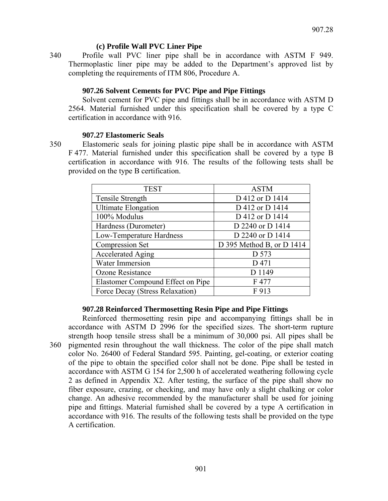# **(c) Profile Wall PVC Liner Pipe**

340 Profile wall PVC liner pipe shall be in accordance with ASTM F 949. Thermoplastic liner pipe may be added to the Department's approved list by completing the requirements of ITM 806, Procedure A.

# **907.26 Solvent Cements for PVC Pipe and Pipe Fittings**

 Solvent cement for PVC pipe and fittings shall be in accordance with ASTM D 2564. Material furnished under this specification shall be covered by a type C certification in accordance with 916.

## **907.27 Elastomeric Seals**

350 Elastomeric seals for joining plastic pipe shall be in accordance with ASTM F 477. Material furnished under this specification shall be covered by a type B certification in accordance with 916. The results of the following tests shall be provided on the type B certification.

| <b>TEST</b>                       | <b>ASTM</b>                 |
|-----------------------------------|-----------------------------|
| Tensile Strength                  | D 412 or D 1414             |
| <b>Ultimate Elongation</b>        | D 412 or D 1414             |
| 100% Modulus                      | D 412 or D 1414             |
| Hardness (Durometer)              | D 2240 or D 1414            |
| Low-Temperature Hardness          | D 2240 or D 1414            |
| <b>Compression Set</b>            | D 395 Method B, or D $1414$ |
| <b>Accelerated Aging</b>          | D 573                       |
| Water Immersion                   | D 471                       |
| Ozone Resistance                  | D 1149                      |
| Elastomer Compound Effect on Pipe | F 477                       |
| Force Decay (Stress Relaxation)   | F 913                       |

## **907.28 Reinforced Thermosetting Resin Pipe and Pipe Fittings**

 Reinforced thermosetting resin pipe and accompanying fittings shall be in accordance with ASTM D 2996 for the specified sizes. The short-term rupture strength hoop tensile stress shall be a minimum of 30,000 psi. All pipes shall be 360 pigmented resin throughout the wall thickness. The color of the pipe shall match color No. 26400 of Federal Standard 595. Painting, gel-coating, or exterior coating of the pipe to obtain the specified color shall not be done. Pipe shall be tested in accordance with ASTM G 154 for 2,500 h of accelerated weathering following cycle 2 as defined in Appendix X2. After testing, the surface of the pipe shall show no fiber exposure, crazing, or checking, and may have only a slight chalking or color change. An adhesive recommended by the manufacturer shall be used for joining pipe and fittings. Material furnished shall be covered by a type A certification in accordance with 916. The results of the following tests shall be provided on the type A certification.